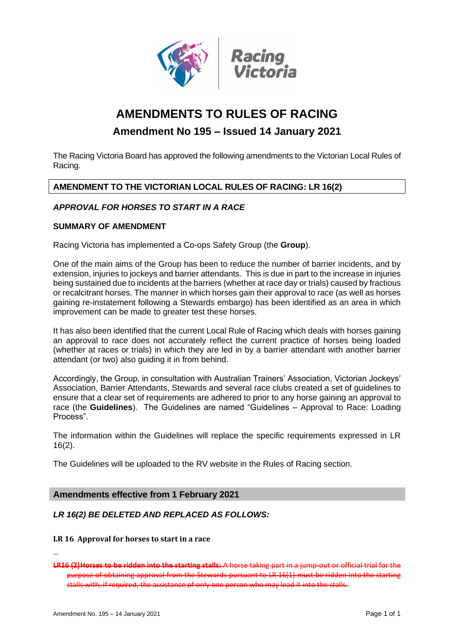

# **AMENDMENTS TO RULES OF RACING**

# **Amendment No 195 – Issued 14 January 2021**

The Racing Victoria Board has approved the following amendments to the Victorian Local Rules of Racing.

## **AMENDMENT TO THE VICTORIAN LOCAL RULES OF RACING: LR 16(2)**

## *APPROVAL FOR HORSES TO START IN A RACE*

#### **SUMMARY OF AMENDMENT**

Racing Victoria has implemented a Co-ops Safety Group (the **Group**).

One of the main aims of the Group has been to reduce the number of barrier incidents, and by extension, injuries to jockeys and barrier attendants. This is due in part to the increase in injuries being sustained due to incidents at the barriers (whether at race day or trials) caused by fractious or recalcitrant horses. The manner in which horses gain their approval to race (as well as horses gaining re-instatement following a Stewards embargo) has been identified as an area in which improvement can be made to greater test these horses.

It has also been identified that the current Local Rule of Racing which deals with horses gaining an approval to race does not accurately reflect the current practice of horses being loaded (whether at races or trials) in which they are led in by a barrier attendant with another barrier attendant (or two) also guiding it in from behind.

Accordingly, the Group, in consultation with Australian Trainers' Association, Victorian Jockeys' Association, Barrier Attendants, Stewards and several race clubs created a set of guidelines to ensure that a clear set of requirements are adhered to prior to any horse gaining an approval to race (the **Guidelines**). The Guidelines are named "Guidelines – Approval to Race: Loading Process".

The information within the Guidelines will replace the specific requirements expressed in LR 16(2).

The Guidelines will be uploaded to the RV website in the Rules of Racing section.

#### **Amendments effective from 1 February 2021**

#### *LR 16(2) BE DELETED AND REPLACED AS FOLLOWS:*

#### **LR 16 Approval for horses to start in a race**

…

**LR16 (2)Horses to be ridden into the starting stalls:** A horse taking part in a jump-out or official trial for the purpose of obtaining approval from the Stewards pursuant to LR 16(1) must be ridden into the starting stalls with, if required, the assistance of only one person who may lead it into the stalls.